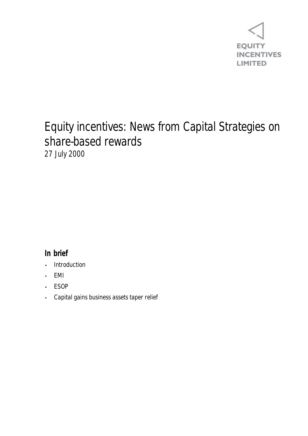

## Equity incentives: News from Capital Strategies on share-based rewards 27 July 2000

## **In brief**

- **Introduction**
- EMI
- ESOP
- Capital gains business assets taper relief